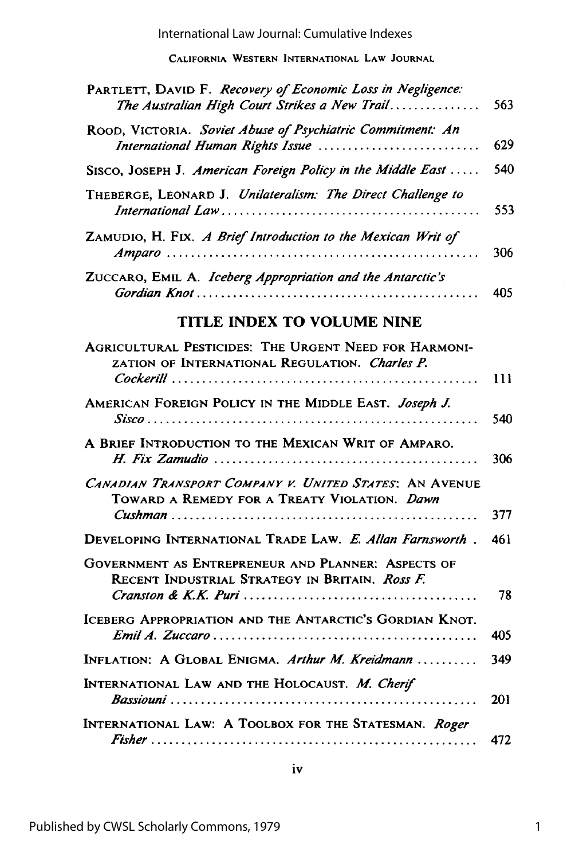International Law Journal: Cumulative Indexes

**CALIFORNIA WESTERN INTERNATIONAL LAW JOURNAL**

| PARTLETT, DAVID F. Recovery of Economic Loss in Negligence:<br>The Australian High Court Strikes a New Trail | 563 |
|--------------------------------------------------------------------------------------------------------------|-----|
| ROOD, VICTORIA. Soviet Abuse of Psychiatric Commitment: An<br>International Human Rights Issue               | 629 |
| SISCO, JOSEPH J. American Foreign Policy in the Middle East                                                  | 540 |
| THEBERGE, LEONARD J. Unilateralism: The Direct Challenge to                                                  | 553 |
| ZAMUDIO, H. FIX. A Brief Introduction to the Mexican Writ of                                                 | 306 |
| ZUCCARO, EMIL A. Iceberg Appropriation and the Antarctic's                                                   | 405 |
| <b>TLE INDEX TO VOLUME NINE</b>                                                                              |     |

| AGRICULTURAL PESTICIDES: THE URGENT NEED FOR HARMONI-<br>ZATION OF INTERNATIONAL REGULATION. Charles P. |     |
|---------------------------------------------------------------------------------------------------------|-----|
|                                                                                                         | 111 |
| AMERICAN FOREIGN POLICY IN THE MIDDLE EAST. Joseph J.                                                   | 540 |
| A BRIEF INTRODUCTION TO THE MEXICAN WRIT OF AMPARO.                                                     | 306 |
| CANADIAN TRANSPORT COMPANY V. UNITED STATES: AN AVENUE<br>TOWARD A REMEDY FOR A TREATY VIOLATION. Dawn  | 377 |
| DEVELOPING INTERNATIONAL TRADE LAW. E. Allan Farnsworth.                                                | 461 |
| GOVERNMENT AS ENTREPRENEUR AND PLANNER: ASPECTS OF<br>RECENT INDUSTRIAL STRATEGY IN BRITAIN. Ross F.    |     |
|                                                                                                         | 78  |
| ICEBERG APPROPRIATION AND THE ANTARCTIC'S GORDIAN KNOT.                                                 | 405 |
| INFLATION: A GLOBAL ENIGMA. Arthur M. Kreidmann                                                         | 349 |
| INTERNATIONAL LAW AND THE HOLOCAUST. M. Cherif                                                          | 201 |
| INTERNATIONAL LAW: A TOOLBOX FOR THE STATESMAN. Roger                                                   | 472 |